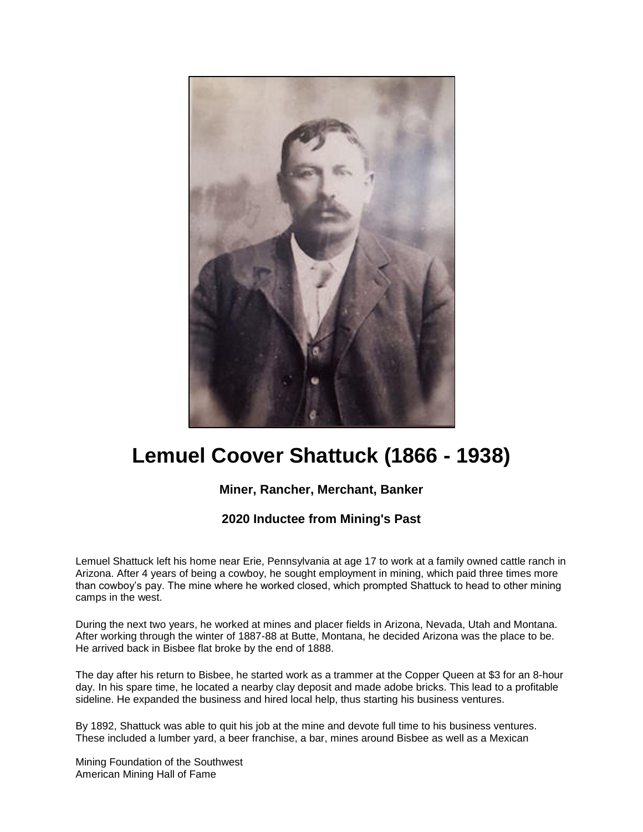

## **Lemuel Coover Shattuck (1866 - 1938)**

## **Miner, Rancher, Merchant, Banker**

## **2020 Inductee from Mining's Past**

Lemuel Shattuck left his home near Erie, Pennsylvania at age 17 to work at a family owned cattle ranch in Arizona. After 4 years of being a cowboy, he sought employment in mining, which paid three times more than cowboy's pay. The mine where he worked closed, which prompted Shattuck to head to other mining camps in the west.

During the next two years, he worked at mines and placer fields in Arizona, Nevada, Utah and Montana. After working through the winter of 1887-88 at Butte, Montana, he decided Arizona was the place to be. He arrived back in Bisbee flat broke by the end of 1888.

The day after his return to Bisbee, he started work as a trammer at the Copper Queen at \$3 for an 8-hour day. In his spare time, he located a nearby clay deposit and made adobe bricks. This lead to a profitable sideline. He expanded the business and hired local help, thus starting his business ventures.

By 1892, Shattuck was able to quit his job at the mine and devote full time to his business ventures. These included a lumber yard, a beer franchise, a bar, mines around Bisbee as well as a Mexican

Mining Foundation of the Southwest American Mining Hall of Fame